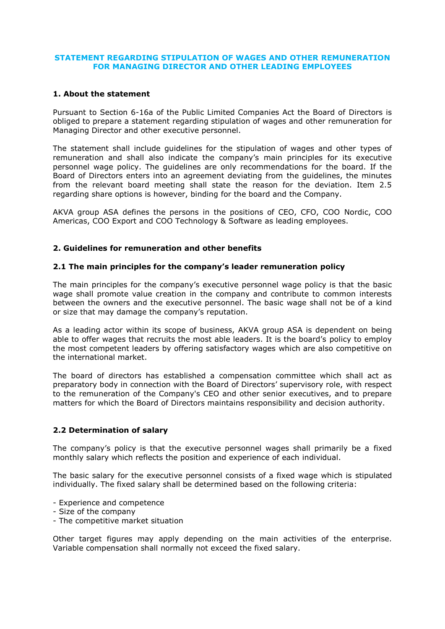### **STATEMENT REGARDING STIPULATION OF WAGES AND OTHER REMUNERATION FOR MANAGING DIRECTOR AND OTHER LEADING EMPLOYEES**

## **1. About the statement**

Pursuant to Section 6-16a of the Public Limited Companies Act the Board of Directors is obliged to prepare a statement regarding stipulation of wages and other remuneration for Managing Director and other executive personnel.

The statement shall include guidelines for the stipulation of wages and other types of remuneration and shall also indicate the company's main principles for its executive personnel wage policy. The guidelines are only recommendations for the board. If the Board of Directors enters into an agreement deviating from the guidelines, the minutes from the relevant board meeting shall state the reason for the deviation. Item 2.5 regarding share options is however, binding for the board and the Company.

AKVA group ASA defines the persons in the positions of CEO, CFO, COO Nordic, COO Americas, COO Export and COO Technology & Software as leading employees.

## **2. Guidelines for remuneration and other benefits**

## **2.1 The main principles for the company's leader remuneration policy**

The main principles for the company's executive personnel wage policy is that the basic wage shall promote value creation in the company and contribute to common interests between the owners and the executive personnel. The basic wage shall not be of a kind or size that may damage the company's reputation.

As a leading actor within its scope of business, AKVA group ASA is dependent on being able to offer wages that recruits the most able leaders. It is the board's policy to employ the most competent leaders by offering satisfactory wages which are also competitive on the international market.

The board of directors has established a compensation committee which shall act as preparatory body in connection with the Board of Directors' supervisory role, with respect to the remuneration of the Company's CEO and other senior executives, and to prepare matters for which the Board of Directors maintains responsibility and decision authority.

# **2.2 Determination of salary**

The company's policy is that the executive personnel wages shall primarily be a fixed monthly salary which reflects the position and experience of each individual.

The basic salary for the executive personnel consists of a fixed wage which is stipulated individually. The fixed salary shall be determined based on the following criteria:

- Experience and competence
- Size of the company
- The competitive market situation

Other target figures may apply depending on the main activities of the enterprise. Variable compensation shall normally not exceed the fixed salary.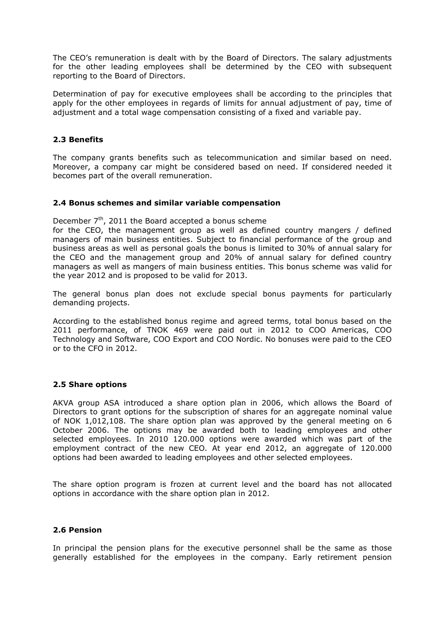The CEO's remuneration is dealt with by the Board of Directors. The salary adjustments for the other leading employees shall be determined by the CEO with subsequent reporting to the Board of Directors.

Determination of pay for executive employees shall be according to the principles that apply for the other employees in regards of limits for annual adjustment of pay, time of adjustment and a total wage compensation consisting of a fixed and variable pay.

### **2.3 Benefits**

The company grants benefits such as telecommunication and similar based on need. Moreover, a company car might be considered based on need. If considered needed it becomes part of the overall remuneration.

#### **2.4 Bonus schemes and similar variable compensation**

December  $7<sup>th</sup>$ , 2011 the Board accepted a bonus scheme

for the CEO, the management group as well as defined country mangers / defined managers of main business entities. Subject to financial performance of the group and business areas as well as personal goals the bonus is limited to 30% of annual salary for the CEO and the management group and 20% of annual salary for defined country managers as well as mangers of main business entities. This bonus scheme was valid for the year 2012 and is proposed to be valid for 2013.

The general bonus plan does not exclude special bonus payments for particularly demanding projects.

According to the established bonus regime and agreed terms, total bonus based on the 2011 performance, of TNOK 469 were paid out in 2012 to COO Americas, COO Technology and Software, COO Export and COO Nordic. No bonuses were paid to the CEO or to the CFO in 2012.

#### **2.5 Share options**

AKVA group ASA introduced a share option plan in 2006, which allows the Board of Directors to grant options for the subscription of shares for an aggregate nominal value of NOK 1,012,108. The share option plan was approved by the general meeting on 6 October 2006. The options may be awarded both to leading employees and other selected employees. In 2010 120.000 options were awarded which was part of the employment contract of the new CEO. At year end 2012, an aggregate of 120.000 options had been awarded to leading employees and other selected employees.

The share option program is frozen at current level and the board has not allocated options in accordance with the share option plan in 2012.

#### **2.6 Pension**

In principal the pension plans for the executive personnel shall be the same as those generally established for the employees in the company. Early retirement pension